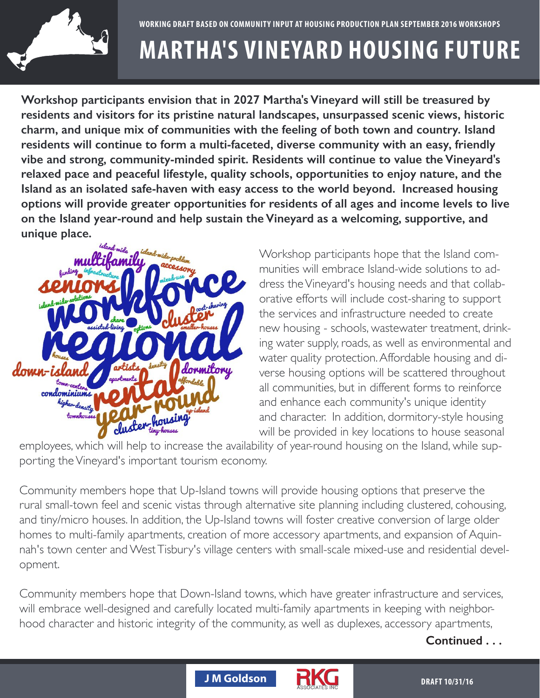

## **MARTHA'S VINEYARD HOUSING FUTURE** WORKING DRAFT BASED ON COMMUNITY INPUT AT HOUSING PRODUCTION PLAN SEPTEMBER 2016 WOI<br>MARTHA'S VINFYARD HOUSING FIJ

n 2027 Martha's Vinevard will still be treasured by **POPULATION MAY A TELL PROPERTY 12.12 Million** Wities with the feeling of residents will continue to form a multi-faceted, diverse community with an easy, friendly **Inities for resider**<br>Istain the Vineyar **DECLINE IN MORTGAGE ADULTS IN WORKING AND SCENIC VIEWS, NISTOFIC Charm, and unique mix of communities with the feeling of both town and country. Island <br>
<br>
<b>2000 PROJECTED WITH STATE STATE OF A LIST OF A LIST OF A LIST OF A LIST OF A LIST OF A LIST OF A LIST OF A LIST OF A LIST OF A** Workshop participants envision that in 2027 Martha's Vineyard will still be treasured by **rights and visitors for its pristine natural landscapes, unsurpassed scenic views, historic<br>residents and visitors for its pristine natural landscapes, unsurpassed scenic views, historic** projected years and the second weapons of the second weapons of the second weapons of the second weapons of the <br>Projection of the second weapons of the second weapons of the second weapons of the second weapons of the sec relaxed pace and peaceful lifestyle, quality schools, opportunities to enjoy nature, and the vibe and strong, community-minded spirit. Residents will continue to value the Vineyard's **2006** Island as an isolated safe-haven with easy access to the world beyond. Increased housing<br>
options will provide greater opportunities for residents of all ages and income levels to live options will provide greater opportunities for residents of all ages and income levels to live **on the Island year-round and help sustain the Vineyard as a welcoming, supportive, and**  20–64 **unique place.** esidents will continue to<br>ibe and strong, commun<br>elaxed pace and peacefu<br>sland as an isolated safeyears **59% 62% 49%**



 $S^{\text{out}}$ Die Population Projections **CAPE A**<br>dress the Vi<br>orative effo **OLDER ADDER ASS** were as environmental and di-<br>Water quality protection. Affordable housing and di-**LOWER SPACE ON THE ISLAND INCOME OF SPACE OF SPACE OF SPACE OF SPACE OVER** all communities, but in different forms to reinforce Source: 2000 US Census, 2010-2014 ACS, and new housing - schools, wastewater treatment, drink-Workshop participants hope that the Island com-**Children** orative efforts will include cost-sharing to support the services and infractructure poeded to create **Anticipated growth in the over 65 population in combina**and character. In addition, dormitory-style housing will be provided in key locations to house seasonal Workshop participants hope that the Island com-<br>munities will embrace Island-wide solutions to address the Vineyard's housing needs and that collabthe services and infrastructure needed to create ing water supply, roads, as well as environmental and and enhance each community's unique identity Source: 2000 US Census, 2010-2014 ACS, 2010-2014 ACS, and UMasseum ACS, and UMASSEUM ACTION Donahue Institute Populations Projections Populations Projection Projections Projections Projection Projection<br>Projection Projections Projections Projections Projections Projections Projections Projections Projections Pro maracter. In addition, dormitory-style nousing

picyces, willch will help to file ease the av porting the Vineyard's important tourism economy. Massachuetts Dukes County\* will be provided in key locations to house seasona<br>-employees, which will help to increase the availability of year-round housing on the Island, while sup-

**in both the state and the country.** Source: 2010 US Census, 2010-2014 ACS, and UMass Donahue Institute Population Projections and tiny/micro houses. In addition, the Up-Island towns will foster creative conversion of large older<br>homes to multi-family apartments, creation of more accessory apartments, and expansion of Aquin-<br>nah's town center and h's town center and West Tisbury's village centers with small ment. **WHILE HOUSE IS GROWING** rural small-town feel and scenic vistas through alternative site planning including clustered, cohousing<br>and tiny/micro houses. In addition, the Up-Island towns will foster creative conversion of large older<br>homes to multi s<br>lin¦<br>ימי homes to multi-family apartments, creation of more accessory apartments, and expansion of Aquin-<br>nah's town center and WestTisbury's village centers with small-scale mixed-use and residential devel-<br>opment. Community members hope that Up-Island towns will provide housing options that preserve the rural small-town feel and scenic vistas through alternative site planning including clustered, cohousing, and tiny/micro houses. In addition, the Up-Island towns will foster creative conversion of large older opment. and internet sinope that Op-island town nah's town center and West Tisbury's village centers with small-scale mixed-use and residential devopment.

 $\blacksquare$ <br>Community members hope that Down-Island towns, which have greater infrastructure and services, *actor* and mistoric integrity or the co will embrace well-designed and carefully located multi-family apartments in keeping with neighbor-<br>Number of House  $4$ unle $3$  $z$ e.pr.  $\infty$ as we  $\overline{\phantom{a}}$ 45–64 years hood character and historic integrity of the community, as well as duplexes, accessory apartments,  $\sim$ , as well as duplexes, accessory apartme

## Continued . . .